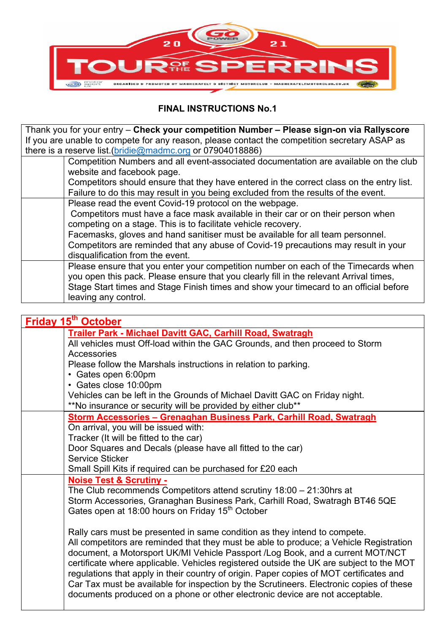

## **FINAL INSTRUCTIONS No.1**

Thank you for your entry – **Check your competition Number – Please sign-on via Rallyscore** If you are unable to compete for any reason, please contact the competition secretary ASAP as there is a reserve list.(bridie@madmc.org or 07904018886)

| Competition Numbers and all event-associated documentation are available on the club     |
|------------------------------------------------------------------------------------------|
| website and facebook page.                                                               |
| Competitors should ensure that they have entered in the correct class on the entry list. |
| Failure to do this may result in you being excluded from the results of the event.       |
| Please read the event Covid-19 protocol on the webpage.                                  |
| Competitors must have a face mask available in their car or on their person when         |
| competing on a stage. This is to facilitate vehicle recovery.                            |
| Facemasks, gloves and hand sanitiser must be available for all team personnel.           |
| Competitors are reminded that any abuse of Covid-19 precautions may result in your       |
| disqualification from the event.                                                         |
| Please ensure that you enter your competition number on each of the Timecards when       |
| you open this pack. Please ensure that you clearly fill in the relevant Arrival times,   |
| Stage Start times and Stage Finish times and show your timecard to an official before    |
| leaving any control.                                                                     |

| Friday 15 <sup>th</sup> October                                                         |
|-----------------------------------------------------------------------------------------|
| Trailer Park - Michael Davitt GAC, Carhill Road, Swatragh                               |
| All vehicles must Off-load within the GAC Grounds, and then proceed to Storm            |
| Accessories                                                                             |
| Please follow the Marshals instructions in relation to parking.                         |
| • Gates open 6:00pm                                                                     |
| • Gates close 10:00pm                                                                   |
| Vehicles can be left in the Grounds of Michael Davitt GAC on Friday night.              |
| **No insurance or security will be provided by either club**                            |
| Storm Accessories - Grenaghan Business Park, Carhill Road, Swatragh                     |
| On arrival, you will be issued with:                                                    |
| Tracker (It will be fitted to the car)                                                  |
| Door Squares and Decals (please have all fitted to the car)                             |
| Service Sticker                                                                         |
| Small Spill Kits if required can be purchased for £20 each                              |
| <b>Noise Test &amp; Scrutiny -</b>                                                      |
| The Club recommends Competitors attend scrutiny $18:00 - 21:30$ hrs at                  |
| Storm Accessories, Granaghan Business Park, Carhill Road, Swatragh BT46 5QE             |
| Gates open at 18:00 hours on Friday 15 <sup>th</sup> October                            |
|                                                                                         |
| Rally cars must be presented in same condition as they intend to compete.               |
| All competitors are reminded that they must be able to produce; a Vehicle Registration  |
| document, a Motorsport UK/MI Vehicle Passport /Log Book, and a current MOT/NCT          |
| certificate where applicable. Vehicles registered outside the UK are subject to the MOT |
| regulations that apply in their country of origin. Paper copies of MOT certificates and |
| Car Tax must be available for inspection by the Scrutineers. Electronic copies of these |
| documents produced on a phone or other electronic device are not acceptable.            |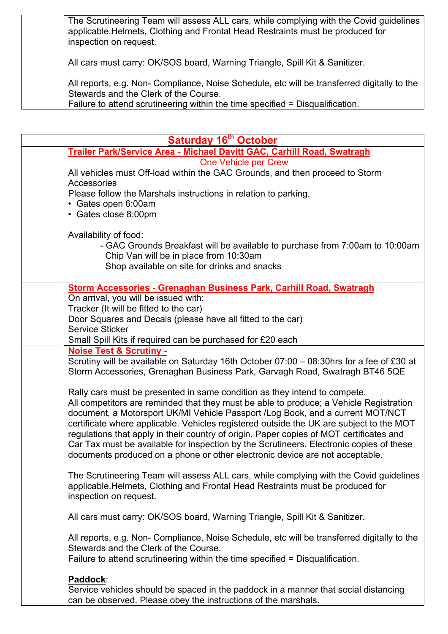| The Scrutineering Team will assess ALL cars, while complying with the Covid guidelines |
|----------------------------------------------------------------------------------------|
| applicable. Helmets, Clothing and Frontal Head Restraints must be produced for         |
| inspection on request.                                                                 |
|                                                                                        |

All cars must carry: OK/SOS board, Warning Triangle, Spill Kit & Sanitizer.

All reports, e.g. Non- Compliance, Noise Schedule, etc will be transferred digitally to the Stewards and the Clerk of the Course.

Failure to attend scrutineering within the time specified = Disqualification.

| <b>Saturday 16th October</b>                                                                                                                                                                                                                                                                                                                                                                                                                                                                                                                                                                                           |  |  |
|------------------------------------------------------------------------------------------------------------------------------------------------------------------------------------------------------------------------------------------------------------------------------------------------------------------------------------------------------------------------------------------------------------------------------------------------------------------------------------------------------------------------------------------------------------------------------------------------------------------------|--|--|
| Trailer Park/Service Area - Michael Davitt GAC, Carhill Road, Swatragh                                                                                                                                                                                                                                                                                                                                                                                                                                                                                                                                                 |  |  |
| One Vehicle per Crew<br>All vehicles must Off-load within the GAC Grounds, and then proceed to Storm<br>Accessories<br>Please follow the Marshals instructions in relation to parking.<br>• Gates open 6:00am                                                                                                                                                                                                                                                                                                                                                                                                          |  |  |
| • Gates close 8:00pm<br>Availability of food:<br>- GAC Grounds Breakfast will be available to purchase from 7:00am to 10:00am<br>Chip Van will be in place from 10:30am<br>Shop available on site for drinks and snacks                                                                                                                                                                                                                                                                                                                                                                                                |  |  |
|                                                                                                                                                                                                                                                                                                                                                                                                                                                                                                                                                                                                                        |  |  |
| Storm Accessories - Grenaghan Business Park, Carhill Road, Swatragh<br>On arrival, you will be issued with:<br>Tracker (It will be fitted to the car)<br>Door Squares and Decals (please have all fitted to the car)<br><b>Service Sticker</b>                                                                                                                                                                                                                                                                                                                                                                         |  |  |
| Small Spill Kits if required can be purchased for £20 each                                                                                                                                                                                                                                                                                                                                                                                                                                                                                                                                                             |  |  |
| <b>Noise Test &amp; Scrutiny -</b><br>Scrutiny will be available on Saturday 16th October 07:00 - 08:30hrs for a fee of £30 at<br>Storm Accessories, Grenaghan Business Park, Garvagh Road, Swatragh BT46 5QE                                                                                                                                                                                                                                                                                                                                                                                                          |  |  |
| Rally cars must be presented in same condition as they intend to compete.<br>All competitors are reminded that they must be able to produce; a Vehicle Registration<br>document, a Motorsport UK/MI Vehicle Passport /Log Book, and a current MOT/NCT<br>certificate where applicable. Vehicles registered outside the UK are subject to the MOT<br>regulations that apply in their country of origin. Paper copies of MOT certificates and<br>Car Tax must be available for inspection by the Scrutineers. Electronic copies of these<br>documents produced on a phone or other electronic device are not acceptable. |  |  |
| The Scrutineering Team will assess ALL cars, while complying with the Covid guidelines<br>applicable. Helmets, Clothing and Frontal Head Restraints must be produced for<br>inspection on request.                                                                                                                                                                                                                                                                                                                                                                                                                     |  |  |
| All cars must carry: OK/SOS board, Warning Triangle, Spill Kit & Sanitizer.                                                                                                                                                                                                                                                                                                                                                                                                                                                                                                                                            |  |  |
| All reports, e.g. Non- Compliance, Noise Schedule, etc will be transferred digitally to the<br>Stewards and the Clerk of the Course.<br>Failure to attend scrutineering within the time specified = Disqualification.                                                                                                                                                                                                                                                                                                                                                                                                  |  |  |
| Paddock:<br>Service vehicles should be spaced in the paddock in a manner that social distancing<br>can be observed. Please obey the instructions of the marshals.                                                                                                                                                                                                                                                                                                                                                                                                                                                      |  |  |